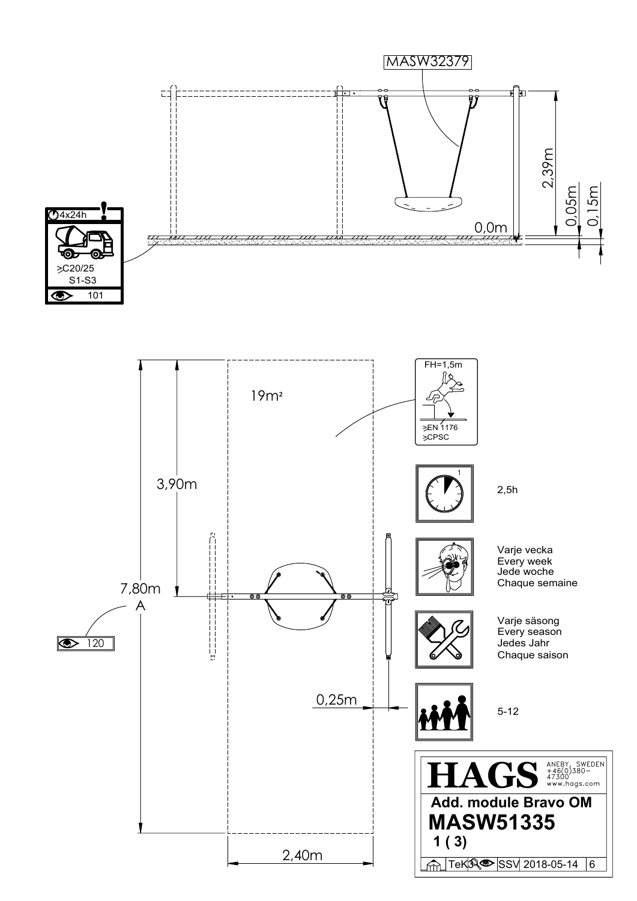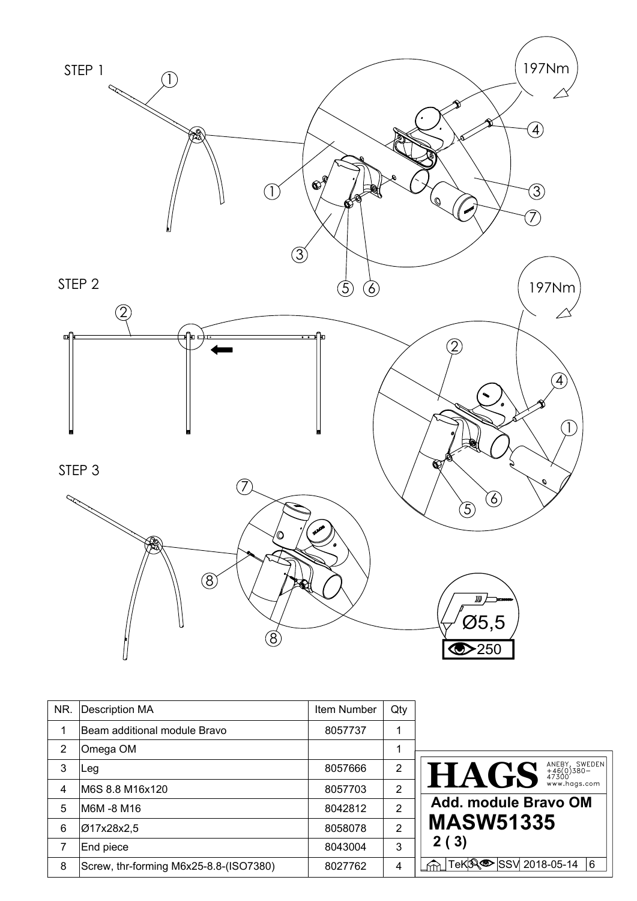

| NR. | <b>Description MA</b>                  | Item Number | Qty |                                                                              |
|-----|----------------------------------------|-------------|-----|------------------------------------------------------------------------------|
|     | Beam additional module Bravo           | 8057737     | 1   |                                                                              |
| 2   | Omega OM                               |             | 1   |                                                                              |
| 3   | Leg                                    | 8057666     | 2   | $\textbf{HACS}$ $\textbf{MES}$ $\textbf{S}$ $\textbf{MEDX}$ $\textbf{SNOEN}$ |
| 4   | IM6S 8.8 M16x120                       | 8057703     | 2   |                                                                              |
| 5   | IM6M -8 M16                            | 8042812     | 2   | Add. module Bravo OM                                                         |
| 6   | 017x28x2,5                             | 8058078     | 2   | <b>MASW51335</b>                                                             |
|     | End piece                              | 8043004     | 3   | 2(3)                                                                         |
| 8   | Screw, thr-forming M6x25-8.8-(ISO7380) | 8027762     | 4   | M TeKR <sup>O</sup> SSV 2018-05-14<br>l 6                                    |